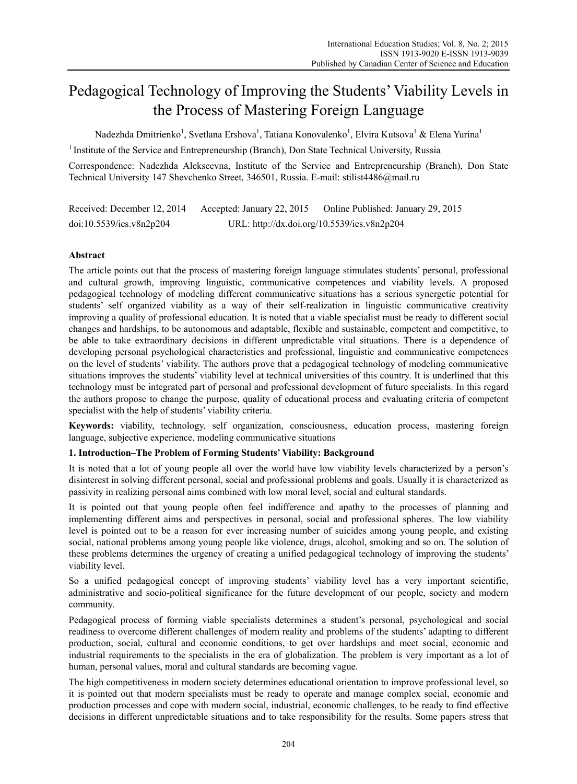# Pedagogical Technology of Improving the Students' Viability Levels in the Process of Mastering Foreign Language

Nadezhda Dmitrienko<sup>1</sup>, Svetlana Ershova<sup>1</sup>, Tatiana Konovalenko<sup>1</sup>, Elvira Kutsova<sup>1</sup> & Elena Yurina<sup>1</sup>

 $<sup>1</sup>$  Institute of the Service and Entrepreneurship (Branch), Don State Technical University, Russia</sup>

Correspondence: Nadezhda Alekseevna, Institute of the Service and Entrepreneurship (Branch), Don State Technical University 147 Shevchenko Street, 346501, Russia. E-mail: stilist4486@mail.ru

Received: December 12, 2014 Accepted: January 22, 2015 Online Published: January 29, 2015 doi:10.5539/ies.v8n2p204 URL: http://dx.doi.org/10.5539/ies.v8n2p204

# **Abstract**

The article points out that the process of mastering foreign language stimulates students' personal, professional and cultural growth, improving linguistic, communicative competences and viability levels. A proposed pedagogical technology of modeling different communicative situations has a serious synergetic potential for students' self organized viability as a way of their self-realization in linguistic communicative creativity improving a quality of professional education. It is noted that a viable specialist must be ready to different social changes and hardships, to be autonomous and adaptable, flexible and sustainable, competent and competitive, to be able to take extraordinary decisions in different unpredictable vital situations. There is a dependence of developing personal psychological characteristics and professional, linguistic and communicative competences on the level of students' viability. The authors prove that a pedagogical technology of modeling communicative situations improves the students' viability level at technical universities of this country. It is underlined that this technology must be integrated part of personal and professional development of future specialists. In this regard the authors propose to change the purpose, quality of educational process and evaluating criteria of competent specialist with the help of students' viability criteria.

**Keywords:** viability, technology, self organization, consciousness, education process, mastering foreign language, subjective experience, modeling communicative situations

# **1. Introduction–The Problem of Forming Students' Viability: Background**

It is noted that a lot of young people all over the world have low viability levels characterized by a person's disinterest in solving different personal, social and professional problems and goals. Usually it is characterized as passivity in realizing personal aims combined with low moral level, social and cultural standards.

It is pointed out that young people often feel indifference and apathy to the processes of planning and implementing different aims and perspectives in personal, social and professional spheres. The low viability level is pointed out to be a reason for ever increasing number of suicides among young people, and existing social, national problems among young people like violence, drugs, alcohol, smoking and so on. The solution of these problems determines the urgency of creating a unified pedagogical technology of improving the students' viability level.

So a unified pedagogical concept of improving students' viability level has a very important scientific, administrative and socio-political significance for the future development of our people, society and modern community.

Pedagogical process of forming viable specialists determines a student's personal, psychological and social readiness to overcome different challenges of modern reality and problems of the students' adapting to different production, social, cultural and economic conditions, to get over hardships and meet social, economic and industrial requirements to the specialists in the era of globalization. The problem is very important as a lot of human, personal values, moral and cultural standards are becoming vague.

The high competitiveness in modern society determines educational orientation to improve professional level, so it is pointed out that modern specialists must be ready to operate and manage complex social, economic and production processes and cope with modern social, industrial, economic challenges, to be ready to find effective decisions in different unpredictable situations and to take responsibility for the results. Some papers stress that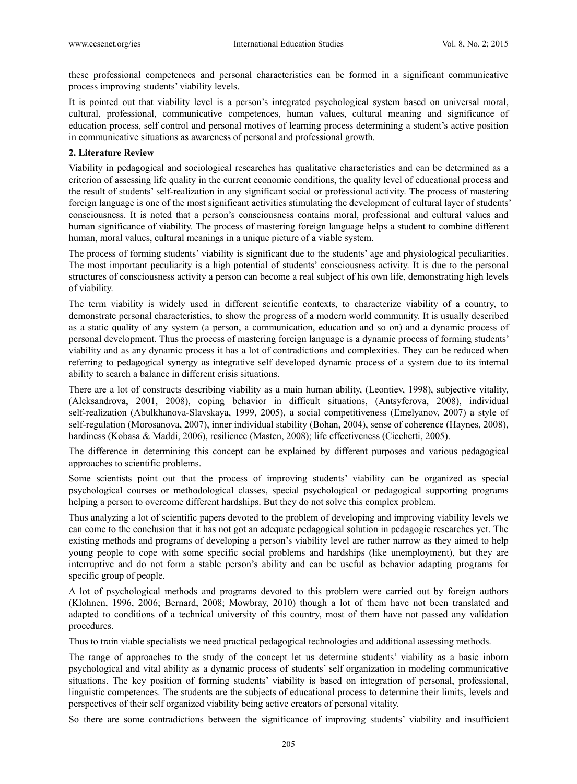these professional competences and personal characteristics can be formed in a significant communicative process improving students' viability levels.

It is pointed out that viability level is a person's integrated psychological system based on universal moral, cultural, professional, communicative competences, human values, cultural meaning and significance of education process, self control and personal motives of learning process determining a student's active position in communicative situations as awareness of personal and professional growth.

## **2. Literature Review**

Viability in pedagogical and sociological researches has qualitative characteristics and can be determined as a criterion of assessing life quality in the current economic conditions, the quality level of educational process and the result of students' self-realization in any significant social or professional activity. The process of mastering foreign language is one of the most significant activities stimulating the development of cultural layer of students' consciousness. It is noted that a person's consciousness contains moral, professional and cultural values and human significance of viability. The process of mastering foreign language helps a student to combine different human, moral values, cultural meanings in a unique picture of a viable system.

The process of forming students' viability is significant due to the students' age and physiological peculiarities. The most important peculiarity is a high potential of students' consciousness activity. It is due to the personal structures of consciousness activity a person can become a real subject of his own life, demonstrating high levels of viability.

The term viability is widely used in different scientific contexts, to characterize viability of a country, to demonstrate personal characteristics, to show the progress of a modern world community. It is usually described as a static quality of any system (a person, a communication, education and so on) and a dynamic process of personal development. Thus the process of mastering foreign language is a dynamic process of forming students' viability and as any dynamic process it has a lot of contradictions and complexities. They can be reduced when referring to pedagogical synergy as integrative self developed dynamic process of a system due to its internal ability to search a balance in different crisis situations.

There are a lot of constructs describing viability as a main human ability, (Leontiev, 1998), subjective vitality, (Aleksandrova, 2001, 2008), coping behavior in difficult situations, (Antsyferova, 2008), individual self-realization (Abulkhanova-Slavskaya, 1999, 2005), a social competitiveness (Emelyanov, 2007) a style of self-regulation (Morosanova, 2007), inner individual stability (Bohan, 2004), sense of coherence (Haynes, 2008), hardiness (Kobasa & Maddi, 2006), resilience (Masten, 2008); life effectiveness (Cicchetti, 2005).

The difference in determining this concept can be explained by different purposes and various pedagogical approaches to scientific problems.

Some scientists point out that the process of improving students' viability can be organized as special psychological courses or methodological classes, special psychological or pedagogical supporting programs helping a person to overcome different hardships. But they do not solve this complex problem.

Thus analyzing a lot of scientific papers devoted to the problem of developing and improving viability levels we can come to the conclusion that it has not got an adequate pedagogical solution in pedagogic researches yet. The existing methods and programs of developing a person's viability level are rather narrow as they aimed to help young people to cope with some specific social problems and hardships (like unemployment), but they are interruptive and do not form a stable person's ability and can be useful as behavior adapting programs for specific group of people.

A lot of psychological methods and programs devoted to this problem were carried out by foreign authors (Klohnen, 1996, 2006; Bernard, 2008; Mowbray, 2010) though a lot of them have not been translated and adapted to conditions of a technical university of this country, most of them have not passed any validation procedures.

Thus to train viable specialists we need practical pedagogical technologies and additional assessing methods.

The range of approaches to the study of the concept let us determine students' viability as a basic inborn psychological and vital ability as a dynamic process of students' self organization in modeling communicative situations. The key position of forming students' viability is based on integration of personal, professional, linguistic competences. The students are the subjects of educational process to determine their limits, levels and perspectives of their self organized viability being active creators of personal vitality.

So there are some contradictions between the significance of improving students' viability and insufficient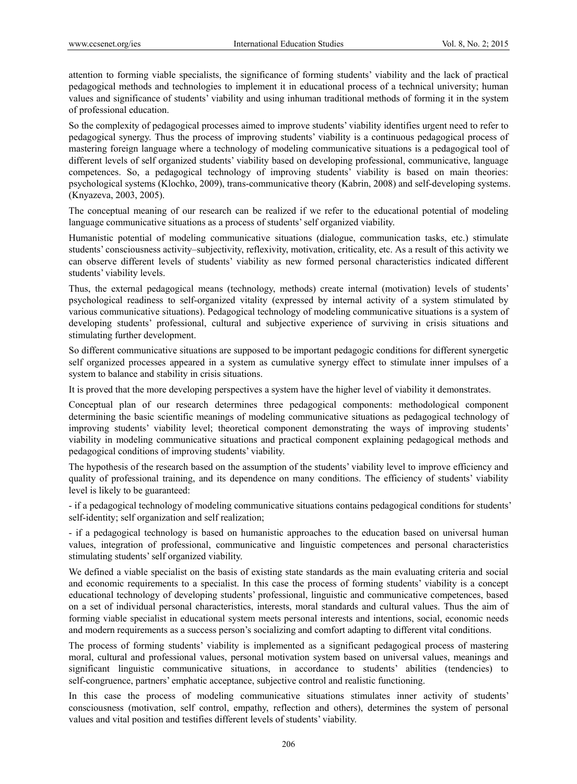attention to forming viable specialists, the significance of forming students' viability and the lack of practical pedagogical methods and technologies to implement it in educational process of a technical university; human values and significance of students' viability and using inhuman traditional methods of forming it in the system of professional education.

So the complexity of pedagogical processes aimed to improve students' viability identifies urgent need to refer to pedagogical synergy. Thus the process of improving students' viability is a continuous pedagogical process of mastering foreign language where a technology of modeling communicative situations is a pedagogical tool of different levels of self organized students' viability based on developing professional, communicative, language competences. So, a pedagogical technology of improving students' viability is based on main theories: psychological systems (Klochko, 2009), trans-communicative theory (Kabrin, 2008) and self-developing systems. (Knyazeva, 2003, 2005).

The conceptual meaning of our research can be realized if we refer to the educational potential of modeling language communicative situations as a process of students' self organized viability.

Humanistic potential of modeling communicative situations (dialogue, communication tasks, etc.) stimulate students' consciousness activity–subjectivity, reflexivity, motivation, criticality, etc. As a result of this activity we can observe different levels of students' viability as new formed personal characteristics indicated different students' viability levels.

Thus, the external pedagogical means (technology, methods) create internal (motivation) levels of students' psychological readiness to self-organized vitality (expressed by internal activity of a system stimulated by various communicative situations). Pedagogical technology of modeling communicative situations is a system of developing students' professional, cultural and subjective experience of surviving in crisis situations and stimulating further development.

So different communicative situations are supposed to be important pedagogic conditions for different synergetic self organized processes appeared in a system as cumulative synergy effect to stimulate inner impulses of a system to balance and stability in crisis situations.

It is proved that the more developing perspectives a system have the higher level of viability it demonstrates.

Conceptual plan of our research determines three pedagogical components: methodological component determining the basic scientific meanings of modeling communicative situations as pedagogical technology of improving students' viability level; theoretical component demonstrating the ways of improving students' viability in modeling communicative situations and practical component explaining pedagogical methods and pedagogical conditions of improving students' viability.

The hypothesis of the research based on the assumption of the students' viability level to improve efficiency and quality of professional training, and its dependence on many conditions. The efficiency of students' viability level is likely to be guaranteed:

- if a pedagogical technology of modeling communicative situations contains pedagogical conditions for students' self-identity; self organization and self realization;

- if a pedagogical technology is based on humanistic approaches to the education based on universal human values, integration of professional, communicative and linguistic competences and personal characteristics stimulating students' self organized viability.

We defined a viable specialist on the basis of existing state standards as the main evaluating criteria and social and economic requirements to a specialist. In this case the process of forming students' viability is a concept educational technology of developing students' professional, linguistic and communicative competences, based on a set of individual personal characteristics, interests, moral standards and cultural values. Thus the aim of forming viable specialist in educational system meets personal interests and intentions, social, economic needs and modern requirements as a success person's socializing and comfort adapting to different vital conditions.

The process of forming students' viability is implemented as a significant pedagogical process of mastering moral, cultural and professional values, personal motivation system based on universal values, meanings and significant linguistic communicative situations, in accordance to students' abilities (tendencies) to self-congruence, partners' emphatic acceptance, subjective control and realistic functioning.

In this case the process of modeling communicative situations stimulates inner activity of students' consciousness (motivation, self control, empathy, reflection and others), determines the system of personal values and vital position and testifies different levels of students' viability.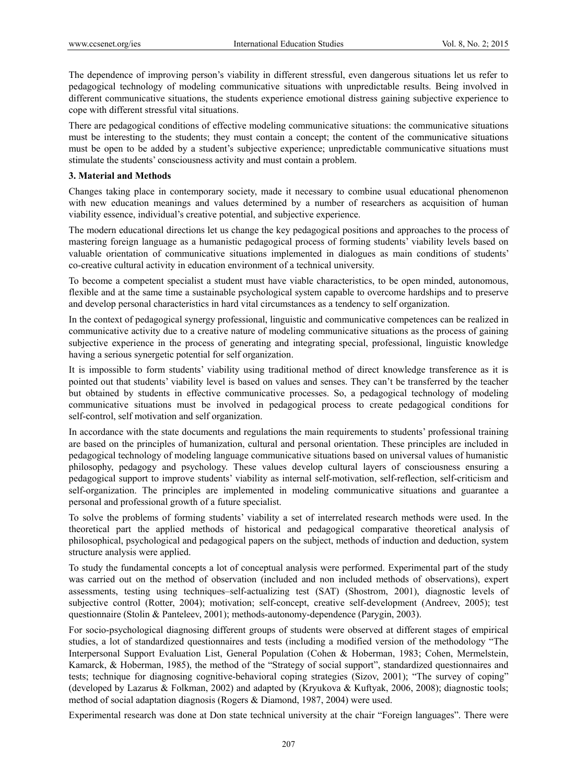The dependence of improving person's viability in different stressful, even dangerous situations let us refer to pedagogical technology of modeling communicative situations with unpredictable results. Being involved in different communicative situations, the students experience emotional distress gaining subjective experience to cope with different stressful vital situations.

There are pedagogical conditions of effective modeling communicative situations: the communicative situations must be interesting to the students; they must contain a concept; the content of the communicative situations must be open to be added by a student's subjective experience; unpredictable communicative situations must stimulate the students' consciousness activity and must contain a problem.

## **3. Material and Methods**

Changes taking place in contemporary society, made it necessary to combine usual educational phenomenon with new education meanings and values determined by a number of researchers as acquisition of human viability essence, individual's creative potential, and subjective experience.

The modern educational directions let us change the key pedagogical positions and approaches to the process of mastering foreign language as a humanistic pedagogical process of forming students' viability levels based on valuable orientation of communicative situations implemented in dialogues as main conditions of students' co-creative cultural activity in education environment of a technical university.

To become a competent specialist a student must have viable characteristics, to be open minded, autonomous, flexible and at the same time a sustainable psychological system capable to overcome hardships and to preserve and develop personal characteristics in hard vital circumstances as a tendency to self organization.

In the context of pedagogical synergy professional, linguistic and communicative competences can be realized in communicative activity due to a creative nature of modeling communicative situations as the process of gaining subjective experience in the process of generating and integrating special, professional, linguistic knowledge having a serious synergetic potential for self organization.

It is impossible to form students' viability using traditional method of direct knowledge transference as it is pointed out that students' viability level is based on values and senses. They can't be transferred by the teacher but obtained by students in effective communicative processes. So, a pedagogical technology of modeling communicative situations must be involved in pedagogical process to create pedagogical conditions for self-control, self motivation and self organization.

In accordance with the state documents and regulations the main requirements to students' professional training are based on the principles of humanization, cultural and personal orientation. These principles are included in pedagogical technology of modeling language communicative situations based on universal values of humanistic philosophy, pedagogy and psychology. These values develop cultural layers of consciousness ensuring a pedagogical support to improve students' viability as internal self-motivation, self-reflection, self-criticism and self-organization. The principles are implemented in modeling communicative situations and guarantee a personal and professional growth of a future specialist.

To solve the problems of forming students' viability a set of interrelated research methods were used. In the theoretical part the applied methods of historical and pedagogical comparative theoretical analysis of philosophical, psychological and pedagogical papers on the subject, methods of induction and deduction, system structure analysis were applied.

To study the fundamental concepts a lot of conceptual analysis were performed. Experimental part of the study was carried out on the method of observation (included and non included methods of observations), expert assessments, testing using techniques–self-actualizing test (SAT) (Shostrom, 2001), diagnostic levels of subjective control (Rotter, 2004); motivation; self-concept, creative self-development (Andreev, 2005); test questionnaire (Stolin & Panteleev, 2001); methods-autonomy-dependence (Parygin, 2003).

For socio-psychological diagnosing different groups of students were observed at different stages of empirical studies, a lot of standardized questionnaires and tests (including a modified version of the methodology "The Interpersonal Support Evaluation List, General Population (Cohen & Hoberman, 1983; Cohen, Mermelstein, Kamarck, & Hoberman, 1985), the method of the "Strategy of social support", standardized questionnaires and tests; technique for diagnosing cognitive-behavioral coping strategies (Sizov, 2001); "The survey of coping" (developed by Lazarus & Folkman, 2002) and adapted by (Kryukova & Kuftyak, 2006, 2008); diagnostic tools; method of social adaptation diagnosis (Rogers & Diamond, 1987, 2004) were used.

Experimental research was done at Don state technical university at the chair "Foreign languages". There were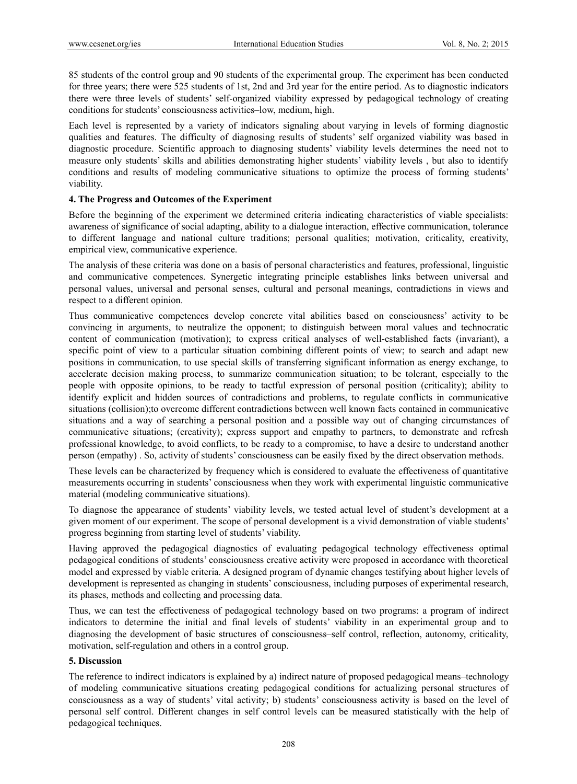85 students of the control group and 90 students of the experimental group. The experiment has been conducted for three years; there were 525 students of 1st, 2nd and 3rd year for the entire period. As to diagnostic indicators there were three levels of students' self-organized viability expressed by pedagogical technology of creating conditions for students' consciousness activities–low, medium, high.

Each level is represented by a variety of indicators signaling about varying in levels of forming diagnostic qualities and features. The difficulty of diagnosing results of students' self organized viability was based in diagnostic procedure. Scientific approach to diagnosing students' viability levels determines the need not to measure only students' skills and abilities demonstrating higher students' viability levels , but also to identify conditions and results of modeling communicative situations to optimize the process of forming students' viability.

## **4. The Progress and Outcomes of the Experiment**

Before the beginning of the experiment we determined criteria indicating characteristics of viable specialists: awareness of significance of social adapting, ability to a dialogue interaction, effective communication, tolerance to different language and national culture traditions; personal qualities; motivation, criticality, creativity, empirical view, communicative experience.

The analysis of these criteria was done on a basis of personal characteristics and features, professional, linguistic and communicative competences. Synergetic integrating principle establishes links between universal and personal values, universal and personal senses, cultural and personal meanings, contradictions in views and respect to a different opinion.

Thus communicative competences develop concrete vital abilities based on consciousness' activity to be convincing in arguments, to neutralize the opponent; to distinguish between moral values and technocratic content of communication (motivation); to express critical analyses of well-established facts (invariant), a specific point of view to a particular situation combining different points of view; to search and adapt new positions in communication, to use special skills of transferring significant information as energy exchange, to accelerate decision making process, to summarize communication situation; to be tolerant, especially to the people with opposite opinions, to be ready to tactful expression of personal position (criticality); ability to identify explicit and hidden sources of contradictions and problems, to regulate conflicts in communicative situations (collision);to overcome different contradictions between well known facts contained in communicative situations and a way of searching a personal position and a possible way out of changing circumstances of communicative situations; (creativity); express support and empathy to partners, to demonstrate and refresh professional knowledge, to avoid conflicts, to be ready to a compromise, to have a desire to understand another person (empathy) . So, activity of students' consciousness can be easily fixed by the direct observation methods.

These levels can be characterized by frequency which is considered to evaluate the effectiveness of quantitative measurements occurring in students' consciousness when they work with experimental linguistic communicative material (modeling communicative situations).

To diagnose the appearance of students' viability levels, we tested actual level of student's development at a given moment of our experiment. The scope of personal development is a vivid demonstration of viable students' progress beginning from starting level of students' viability.

Having approved the pedagogical diagnostics of evaluating pedagogical technology effectiveness optimal pedagogical conditions of students' consciousness creative activity were proposed in accordance with theoretical model and expressed by viable criteria. A designed program of dynamic changes testifying about higher levels of development is represented as changing in students' consciousness, including purposes of experimental research, its phases, methods and collecting and processing data.

Thus, we can test the effectiveness of pedagogical technology based on two programs: a program of indirect indicators to determine the initial and final levels of students' viability in an experimental group and to diagnosing the development of basic structures of consciousness–self control, reflection, autonomy, criticality, motivation, self-regulation and others in a control group.

## **5. Discussion**

The reference to indirect indicators is explained by a) indirect nature of proposed pedagogical means–technology of modeling communicative situations creating pedagogical conditions for actualizing personal structures of consciousness as a way of students' vital activity; b) students' consciousness activity is based on the level of personal self control. Different changes in self control levels can be measured statistically with the help of pedagogical techniques.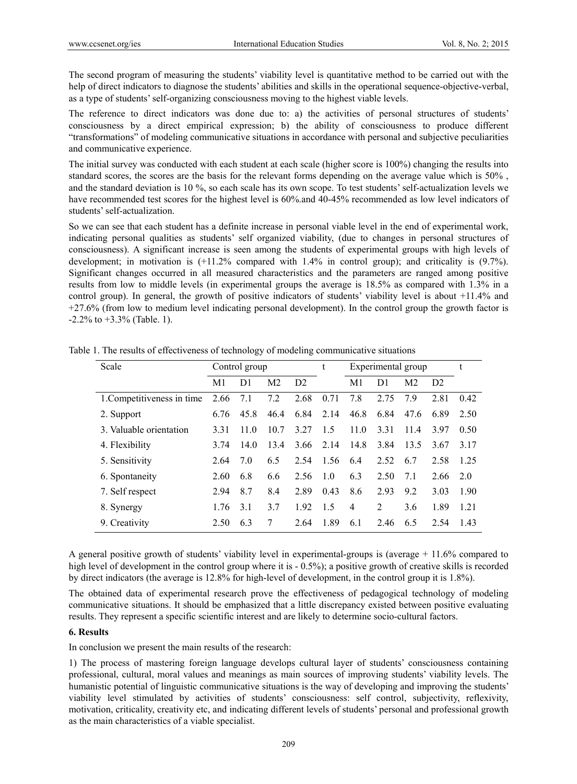The second program of measuring the students' viability level is quantitative method to be carried out with the help of direct indicators to diagnose the students' abilities and skills in the operational sequence-objective-verbal, as a type of students' self-organizing consciousness moving to the highest viable levels.

The reference to direct indicators was done due to: a) the activities of personal structures of students' consciousness by a direct empirical expression; b) the ability of consciousness to produce different "transformations" of modeling communicative situations in accordance with personal and subjective peculiarities and communicative experience.

The initial survey was conducted with each student at each scale (higher score is 100%) changing the results into standard scores, the scores are the basis for the relevant forms depending on the average value which is 50% , and the standard deviation is 10 %, so each scale has its own scope. To test students' self-actualization levels we have recommended test scores for the highest level is 60% and 40-45% recommended as low level indicators of students' self-actualization.

So we can see that each student has a definite increase in personal viable level in the end of experimental work, indicating personal qualities as students' self organized viability, (due to changes in personal structures of consciousness). A significant increase is seen among the students of experimental groups with high levels of development; in motivation is (+11.2% compared with 1.4% in control group); and criticality is (9.7%). Significant changes occurred in all measured characteristics and the parameters are ranged among positive results from low to middle levels (in experimental groups the average is 18.5% as compared with 1.3% in a control group). In general, the growth of positive indicators of students' viability level is about +11.4% and +27.6% (from low to medium level indicating personal development). In the control group the growth factor is  $-2.2\%$  to  $+3.3\%$  (Table. 1).

| Scale                      | Control group |      |                |       | t    | Experimental group |                |                |                | t    |
|----------------------------|---------------|------|----------------|-------|------|--------------------|----------------|----------------|----------------|------|
|                            | M1            | DI   | M <sub>2</sub> | D2    |      | M1                 | D1             | M <sub>2</sub> | D <sub>2</sub> |      |
| 1. Competitiveness in time | 2.66          | 7.1  | 7.2            | 2.68  | 0.71 | 7.8                | 2.75           | 7.9            | 2.81           | 0.42 |
| 2. Support                 | 6.76          | 45.8 | 46.4           | 6.84  | 2.14 | 46.8               | 6.84           | 47.6           | 6.89           | 2.50 |
| 3. Valuable orientation    | 3.31          | 110  | 10.7           | 3 2 7 | 1.5  | 11.0               | 3.31           | 11.4           | 3.97           | 0.50 |
| 4. Flexibility             | 3.74          | 14.0 | 13.4           | 3.66  | 2.14 | 14.8               | 3.84           | 13.5           | 3.67           | 3.17 |
| 5. Sensitivity             | 2.64          | 7.0  | 6.5            | 2.54  | 1.56 | 6.4                | 2.52           | 6.7            | 2.58           | 1.25 |
| 6. Spontaneity             | 2.60          | 6.8  | 6.6            | 2.56  | 1.0  | 6.3                | 2.50           | 71             | 2.66           | 2.0  |
| 7. Self respect            | 2.94          | 8.7  | 8.4            | 2.89  | 0.43 | 8.6                | 2.93           | 9.2            | 3.03           | 1.90 |
| 8. Synergy                 | 1.76          | 3.1  | 3.7            | 1.92  | 1.5  | 4                  | $\overline{2}$ | 3.6            | 1.89           | 1.21 |
| 9. Creativity              | 2.50          | 6.3  | 7              | 2.64  | 1.89 | 6.1                | 2.46           | 6.5            | 2.54           | 1.43 |

Table 1. The results of effectiveness of technology of modeling communicative situations

A general positive growth of students' viability level in experimental-groups is (average + 11.6% compared to high level of development in the control group where it is - 0.5%); a positive growth of creative skills is recorded by direct indicators (the average is 12.8% for high-level of development, in the control group it is 1.8%).

The obtained data of experimental research prove the effectiveness of pedagogical technology of modeling communicative situations. It should be emphasized that a little discrepancy existed between positive evaluating results. They represent a specific scientific interest and are likely to determine socio-cultural factors.

# **6. Results**

In conclusion we present the main results of the research:

1) The process of mastering foreign language develops cultural layer of students' consciousness containing professional, cultural, moral values and meanings as main sources of improving students' viability levels. The humanistic potential of linguistic communicative situations is the way of developing and improving the students' viability level stimulated by activities of students' consciousness: self control, subjectivity, reflexivity, motivation, criticality, creativity etc, and indicating different levels of students' personal and professional growth as the main characteristics of a viable specialist.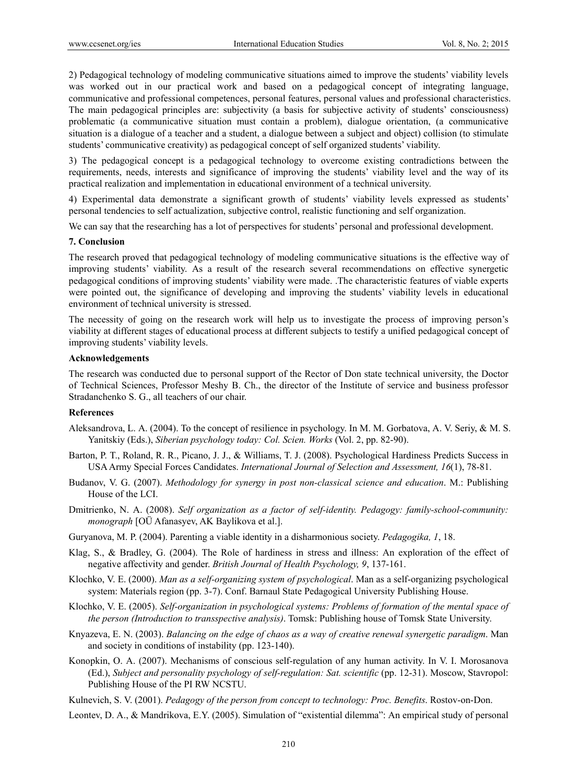2) Pedagogical technology of modeling communicative situations aimed to improve the students' viability levels was worked out in our practical work and based on a pedagogical concept of integrating language, communicative and professional competences, personal features, personal values and professional characteristics. The main pedagogical principles are: subjectivity (a basis for subjective activity of students' consciousness) problematic (a communicative situation must contain a problem), dialogue orientation, (a communicative situation is a dialogue of a teacher and a student, a dialogue between a subject and object) collision (to stimulate students' communicative creativity) as pedagogical concept of self organized students' viability.

3) The pedagogical concept is a pedagogical technology to overcome existing contradictions between the requirements, needs, interests and significance of improving the students' viability level and the way of its practical realization and implementation in educational environment of a technical university.

4) Experimental data demonstrate a significant growth of students' viability levels expressed as students' personal tendencies to self actualization, subjective control, realistic functioning and self organization.

We can say that the researching has a lot of perspectives for students' personal and professional development.

#### **7. Conclusion**

The research proved that pedagogical technology of modeling communicative situations is the effective way of improving students' viability. As a result of the research several recommendations on effective synergetic pedagogical conditions of improving students' viability were made. .The characteristic features of viable experts were pointed out, the significance of developing and improving the students' viability levels in educational environment of technical university is stressed.

The necessity of going on the research work will help us to investigate the process of improving person's viability at different stages of educational process at different subjects to testify a unified pedagogical concept of improving students' viability levels.

### **Acknowledgements**

The research was conducted due to personal support of the Rector of Don state technical university, the Doctor of Technical Sciences, Professor Meshy B. Ch., the director of the Institute of service and business professor Stradanchenko S. G., all teachers of our chair.

#### **References**

- Aleksandrova, L. A. (2004). To the concept of resilience in psychology. In M. M. Gorbatova, A. V. Seriy, & M. S. Yanitskiy (Eds.), *Siberian psychology today: Col. Scien. Works* (Vol. 2, pp. 82-90).
- Barton, P. T., Roland, R. R., Picano, J. J., & Williams, T. J. (2008). Psychological Hardiness Predicts Success in USA Army Special Forces Candidates. *International Journal of Selection and Assessment, 16*(1), 78-81.
- Budanov, V. G. (2007). *Methodology for synergy in post non-classical science and education*. M.: Publishing House of the LCI.
- Dmitrienko, N. A. (2008). *Self organization as a factor of self-identity. Pedagogy: family-school-community: monograph* [OÜ Afanasyev, AK Baylikova et al.].
- Guryanova, M. P. (2004). Parenting a viable identity in a disharmonious society. *Pedagogika, 1*, 18.
- Klag, S., & Bradley, G. (2004). The Role of hardiness in stress and illness: An exploration of the effect of negative affectivity and gender. *British Journal of Health Psychology, 9*, 137-161.
- Klochko, V. E. (2000). *Man as a self-organizing system of psychological*. Man as a self-organizing psychological system: Materials region (pp. 3-7). Conf. Barnaul State Pedagogical University Publishing House.
- Klochko, V. E. (2005). *Self-organization in psychological systems: Problems of formation of the mental space of the person (Introduction to transspective analysis)*. Tomsk: Publishing house of Tomsk State University.
- Knyazeva, E. N. (2003). *Balancing on the edge of chaos as a way of creative renewal synergetic paradigm*. Man and society in conditions of instability (pp. 123-140).
- Konopkin, O. A. (2007). Mechanisms of conscious self-regulation of any human activity. In V. I. Morosanova (Ed.), *Subject and personality psychology of self-regulation: Sat. scientific* (pp. 12-31). Moscow, Stavropol: Publishing House of the PI RW NCSTU.
- Kulnevich, S. V. (2001). *Pedagogy of the person from concept to technology: Proc. Benefits*. Rostov-on-Don.

Leontev, D. A., & Mandrikova, E.Y. (2005). Simulation of "existential dilemma": An empirical study of personal